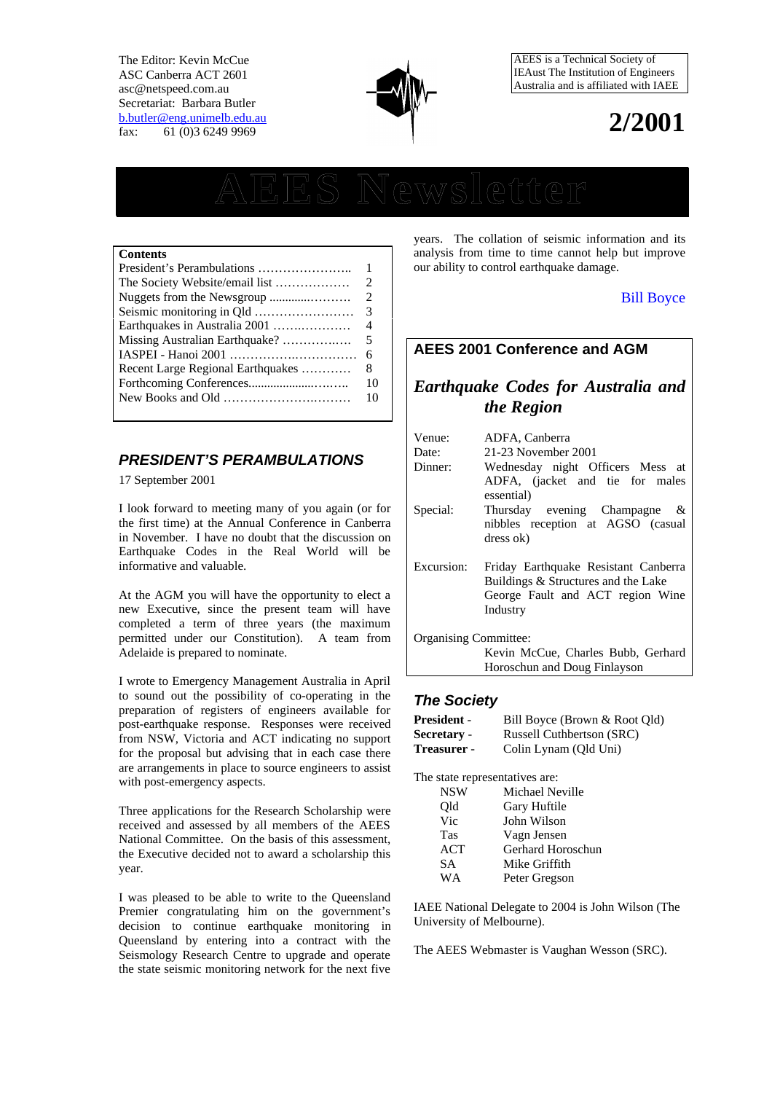The Editor: Kevin McCue ASC Canberra ACT 2601 asc@netspeed.com.au Secretariat: Barbara Butler b.butler@eng.unimelb.edu.au fax: 61 (0)3 6249 9969



AEES is a Technical Society of IEAust The Institution of Engineers Australia and is affiliated with IAEE

## **2/2001**

# **AEES Newsletter**

#### **Contents**

|                                   | $\mathbf{1}$ |
|-----------------------------------|--------------|
|                                   | 2            |
|                                   | 2            |
|                                   | 3            |
| Earthquakes in Australia 2001     | 4            |
| Missing Australian Earthquake?    | 5            |
|                                   | 6            |
| Recent Large Regional Earthquakes | 8            |
|                                   | 10           |
|                                   | 10           |
|                                   |              |

## *PRESIDENT'S PERAMBULATIONS*

17 September 2001

I look forward to meeting many of you again (or for the first time) at the Annual Conference in Canberra in November. I have no doubt that the discussion on Earthquake Codes in the Real World will be informative and valuable.

At the AGM you will have the opportunity to elect a new Executive, since the present team will have completed a term of three years (the maximum permitted under our Constitution). A team from Adelaide is prepared to nominate.

I wrote to Emergency Management Australia in April to sound out the possibility of co-operating in the preparation of registers of engineers available for post-earthquake response. Responses were received from NSW, Victoria and ACT indicating no support for the proposal but advising that in each case there are arrangements in place to source engineers to assist with post-emergency aspects.

Three applications for the Research Scholarship were received and assessed by all members of the AEES National Committee. On the basis of this assessment, the Executive decided not to award a scholarship this year.

I was pleased to be able to write to the Queensland Premier congratulating him on the government's decision to continue earthquake monitoring in Queensland by entering into a contract with the Seismology Research Centre to upgrade and operate the state seismic monitoring network for the next five

years. The collation of seismic information and its analysis from time to time cannot help but improve our ability to control earthquake damage.

## Bill Boyce

## **AEES 2001 Conference and AGM**

## *Earthquake Codes for Australia and the Region*

| Venue:                | ADFA, Canberra                                                                                                              |  |  |
|-----------------------|-----------------------------------------------------------------------------------------------------------------------------|--|--|
| Date:                 | 21-23 November 2001                                                                                                         |  |  |
| Dinner:               | Wednesday night Officers Mess at<br>ADFA, (jacket and tie for males<br>essential)                                           |  |  |
| Special:              | Thursday evening Champagne<br>&<br>nibbles reception at AGSO (casual<br>dress ok)                                           |  |  |
| Excursion:            | Friday Earthquake Resistant Canberra<br>Buildings & Structures and the Lake<br>George Fault and ACT region Wine<br>Industry |  |  |
| Organising Committee: |                                                                                                                             |  |  |
|                       | Kevin McCue, Charles Bubb, Gerhard                                                                                          |  |  |
|                       | Horoschun and Doug Finlayson                                                                                                |  |  |

## *The Society*

| <b>President</b> - | Bill Boyce (Brown & Root Qld) |
|--------------------|-------------------------------|
| Secretary -        | Russell Cuthbertson (SRC)     |
| <b>Treasurer</b> - | Colin Lynam (Qld Uni)         |

The state representatives are:

| <b>NSW</b> | Michael Neville   |
|------------|-------------------|
| Old        | Gary Huftile      |
| Vic        | John Wilson       |
| <b>Tas</b> | Vagn Jensen       |
| ACT        | Gerhard Horoschun |
| SА         | Mike Griffith     |
| WА         | Peter Gregson     |
|            |                   |

IAEE National Delegate to 2004 is John Wilson (The University of Melbourne).

The AEES Webmaster is Vaughan Wesson (SRC).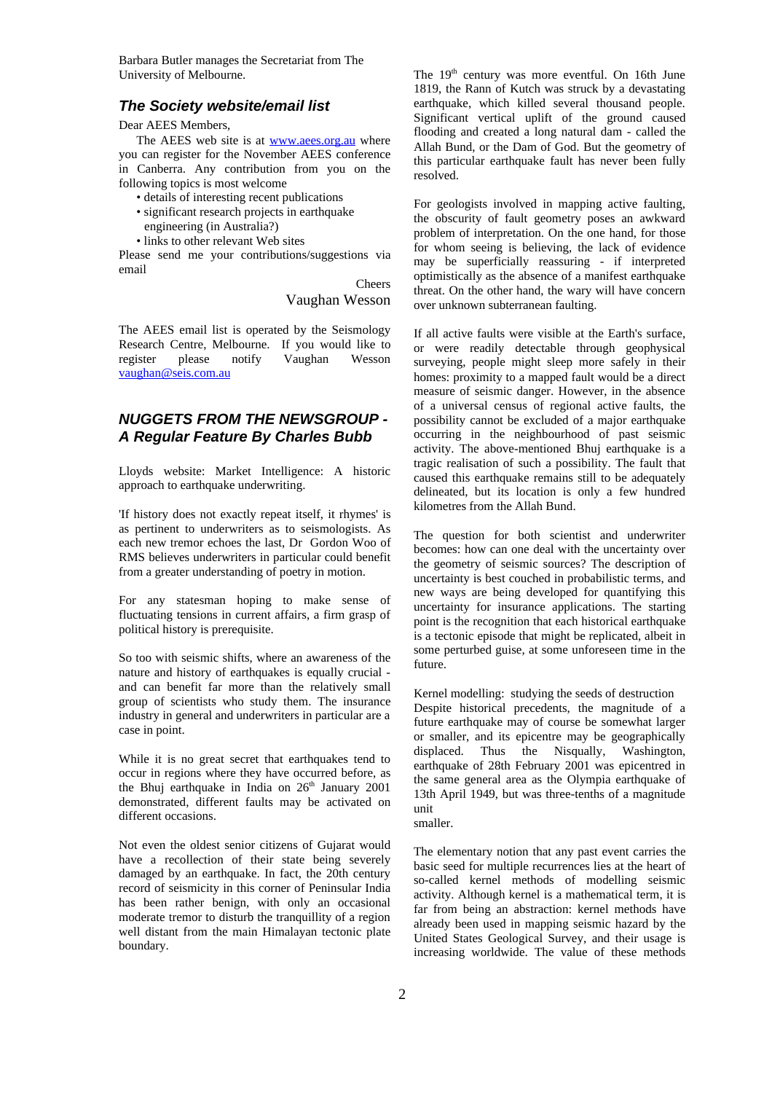Barbara Butler manages the Secretariat from The University of Melbourne.

## *The Society website/email list*

Dear AEES Members,

The AEES web site is at www.aees.org.au where you can register for the November AEES conference in Canberra. Any contribution from you on the following topics is most welcome

- details of interesting recent publications
- significant research projects in earthquake engineering (in Australia?)
- links to other relevant Web sites

Please send me your contributions/suggestions via email

> **Cheers** Vaughan Wesson

The AEES email list is operated by the Seismology Research Centre, Melbourne. If you would like to register please notify Vaughan Wesson vaughan@seis.com.au

## *NUGGETS FROM THE NEWSGROUP - A Regular Feature By Charles Bubb*

Lloyds website: Market Intelligence: A historic approach to earthquake underwriting.

'If history does not exactly repeat itself, it rhymes' is as pertinent to underwriters as to seismologists. As each new tremor echoes the last, Dr Gordon Woo of RMS believes underwriters in particular could benefit from a greater understanding of poetry in motion.

For any statesman hoping to make sense of fluctuating tensions in current affairs, a firm grasp of political history is prerequisite.

So too with seismic shifts, where an awareness of the nature and history of earthquakes is equally crucial and can benefit far more than the relatively small group of scientists who study them. The insurance industry in general and underwriters in particular are a case in point.

While it is no great secret that earthquakes tend to occur in regions where they have occurred before, as the Bhuj earthquake in India on  $26<sup>th</sup>$  January 2001 demonstrated, different faults may be activated on different occasions.

Not even the oldest senior citizens of Gujarat would have a recollection of their state being severely damaged by an earthquake. In fact, the 20th century record of seismicity in this corner of Peninsular India has been rather benign, with only an occasional moderate tremor to disturb the tranquillity of a region well distant from the main Himalayan tectonic plate boundary.

The 19<sup>th</sup> century was more eventful. On 16th June 1819, the Rann of Kutch was struck by a devastating earthquake, which killed several thousand people. Significant vertical uplift of the ground caused flooding and created a long natural dam - called the Allah Bund, or the Dam of God. But the geometry of this particular earthquake fault has never been fully resolved.

For geologists involved in mapping active faulting, the obscurity of fault geometry poses an awkward problem of interpretation. On the one hand, for those for whom seeing is believing, the lack of evidence may be superficially reassuring - if interpreted optimistically as the absence of a manifest earthquake threat. On the other hand, the wary will have concern over unknown subterranean faulting.

If all active faults were visible at the Earth's surface, or were readily detectable through geophysical surveying, people might sleep more safely in their homes: proximity to a mapped fault would be a direct measure of seismic danger. However, in the absence of a universal census of regional active faults, the possibility cannot be excluded of a major earthquake occurring in the neighbourhood of past seismic activity. The above-mentioned Bhuj earthquake is a tragic realisation of such a possibility. The fault that caused this earthquake remains still to be adequately delineated, but its location is only a few hundred kilometres from the Allah Bund.

The question for both scientist and underwriter becomes: how can one deal with the uncertainty over the geometry of seismic sources? The description of uncertainty is best couched in probabilistic terms, and new ways are being developed for quantifying this uncertainty for insurance applications. The starting point is the recognition that each historical earthquake is a tectonic episode that might be replicated, albeit in some perturbed guise, at some unforeseen time in the future.

Kernel modelling: studying the seeds of destruction Despite historical precedents, the magnitude of a future earthquake may of course be somewhat larger or smaller, and its epicentre may be geographically displaced. Thus the Nisqually, Washington, earthquake of 28th February 2001 was epicentred in the same general area as the Olympia earthquake of 13th April 1949, but was three-tenths of a magnitude unit

smaller.

The elementary notion that any past event carries the basic seed for multiple recurrences lies at the heart of so-called kernel methods of modelling seismic activity. Although kernel is a mathematical term, it is far from being an abstraction: kernel methods have already been used in mapping seismic hazard by the United States Geological Survey, and their usage is increasing worldwide. The value of these methods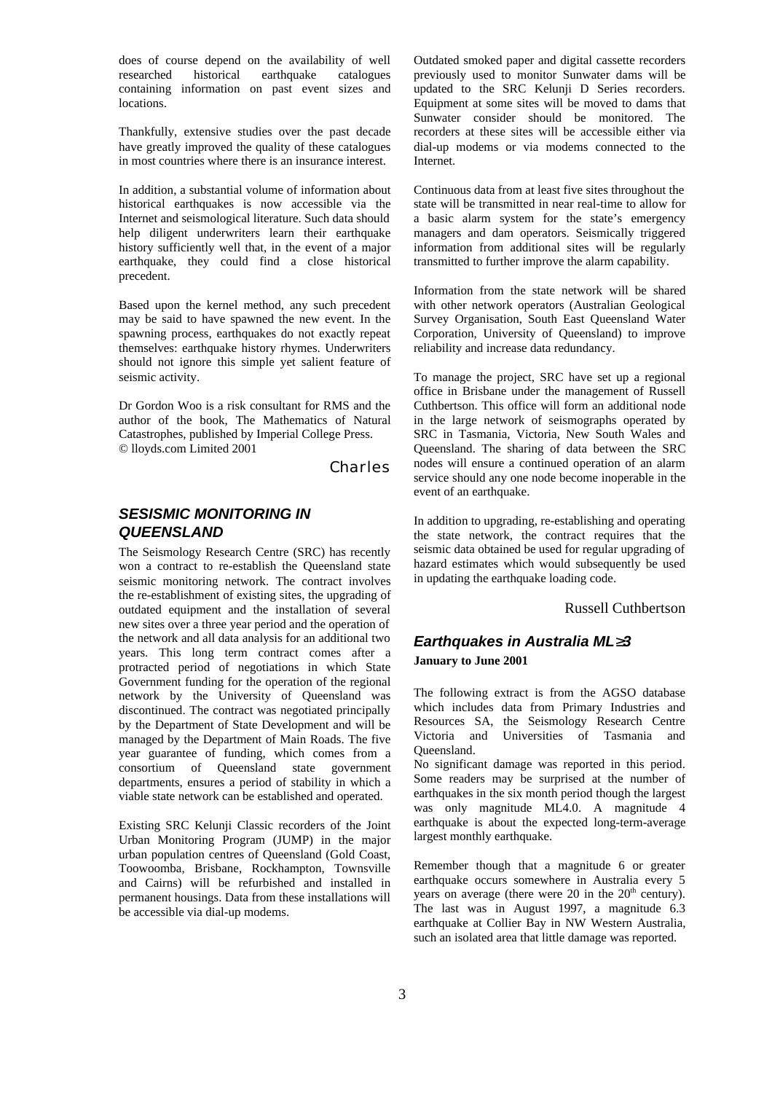does of course depend on the availability of well researched historical earthquake catalogues containing information on past event sizes and locations.

Thankfully, extensive studies over the past decade have greatly improved the quality of these catalogues in most countries where there is an insurance interest.

In addition, a substantial volume of information about historical earthquakes is now accessible via the Internet and seismological literature. Such data should help diligent underwriters learn their earthquake history sufficiently well that, in the event of a major earthquake, they could find a close historical precedent.

Based upon the kernel method, any such precedent may be said to have spawned the new event. In the spawning process, earthquakes do not exactly repeat themselves: earthquake history rhymes. Underwriters should not ignore this simple yet salient feature of seismic activity.

Dr Gordon Woo is a risk consultant for RMS and the author of the book, The Mathematics of Natural Catastrophes, published by Imperial College Press. © lloyds.com Limited 2001

*Charles*

## *SESISMIC MONITORING IN QUEENSLAND*

The Seismology Research Centre (SRC) has recently won a contract to re-establish the Queensland state seismic monitoring network. The contract involves the re-establishment of existing sites, the upgrading of outdated equipment and the installation of several new sites over a three year period and the operation of the network and all data analysis for an additional two years. This long term contract comes after a protracted period of negotiations in which State Government funding for the operation of the regional network by the University of Queensland was discontinued. The contract was negotiated principally by the Department of State Development and will be managed by the Department of Main Roads. The five year guarantee of funding, which comes from a consortium of Queensland state government departments, ensures a period of stability in which a viable state network can be established and operated.

Existing SRC Kelunji Classic recorders of the Joint Urban Monitoring Program (JUMP) in the major urban population centres of Queensland (Gold Coast, Toowoomba, Brisbane, Rockhampton, Townsville and Cairns) will be refurbished and installed in permanent housings. Data from these installations will be accessible via dial-up modems.

Outdated smoked paper and digital cassette recorders previously used to monitor Sunwater dams will be updated to the SRC Kelunji D Series recorders. Equipment at some sites will be moved to dams that Sunwater consider should be monitored. The recorders at these sites will be accessible either via dial-up modems or via modems connected to the Internet.

Continuous data from at least five sites throughout the state will be transmitted in near real-time to allow for a basic alarm system for the state's emergency managers and dam operators. Seismically triggered information from additional sites will be regularly transmitted to further improve the alarm capability.

Information from the state network will be shared with other network operators (Australian Geological Survey Organisation, South East Queensland Water Corporation, University of Queensland) to improve reliability and increase data redundancy.

To manage the project, SRC have set up a regional office in Brisbane under the management of Russell Cuthbertson. This office will form an additional node in the large network of seismographs operated by SRC in Tasmania, Victoria, New South Wales and Queensland. The sharing of data between the SRC nodes will ensure a continued operation of an alarm service should any one node become inoperable in the event of an earthquake.

In addition to upgrading, re-establishing and operating the state network, the contract requires that the seismic data obtained be used for regular upgrading of hazard estimates which would subsequently be used in updating the earthquake loading code.

#### Russell Cuthbertson

## *Earthquakes in Australia ML 3* **January to June 2001**

The following extract is from the AGSO database which includes data from Primary Industries and Resources SA, the Seismology Research Centre Victoria and Universities of Tasmania and Queensland.

No significant damage was reported in this period. Some readers may be surprised at the number of earthquakes in the six month period though the largest was only magnitude ML4.0. A magnitude 4 earthquake is about the expected long-term-average largest monthly earthquake.

Remember though that a magnitude 6 or greater earthquake occurs somewhere in Australia every 5 years on average (there were  $20$  in the  $20<sup>th</sup>$  century). The last was in August 1997, a magnitude 6.3 earthquake at Collier Bay in NW Western Australia, such an isolated area that little damage was reported.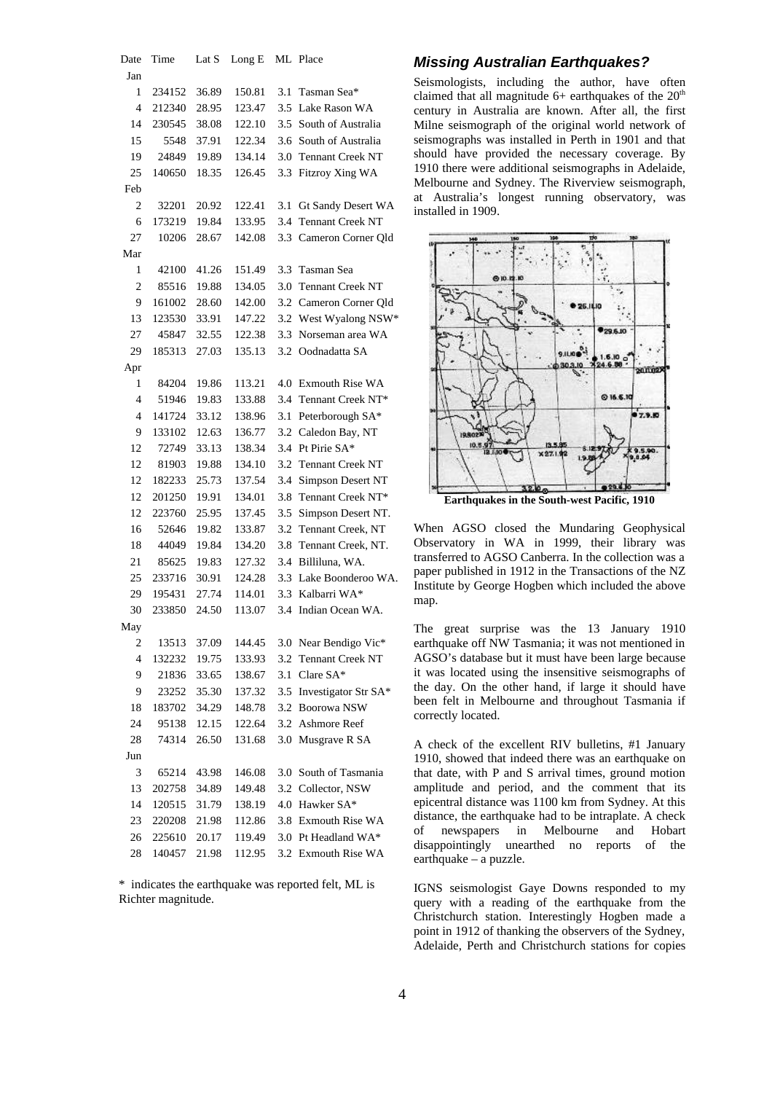```
Date Time Lat S Long E ML Place
Jan
  1 234152 36.89 150.81 3.1 Tasman Sea*
  4 212340 28.95 123.47 3.5 Lake Rason WA
 14 230545 38.08 122.10 3.5 South of Australia
 15 5548 37.91 122.34 3.6 South of Australia
 19 24849 19.89 134.14 3.0 Tennant Creek NT
 25 140650 18.35 126.45 3.3 Fitzroy Xing WA
Feb
  2 32201 20.92 122.41 3.1 Gt Sandy Desert WA
  6 173219 19.84 133.95 3.4 Tennant Creek NT
 27 10206 28.67 142.08 3.3 Cameron Corner Qld
Mar
  1 42100 41.26 151.49 3.3 Tasman Sea
  2 85516 19.88 134.05 3.0 Tennant Creek NT
  9 161002 28.60 142.00 3.2 Cameron Corner Qld
 13 123530 33.91 147.22 3.2 West Wyalong NSW*
 27 45847 32.55 122.38 3.3 Norseman area WA
 29 185313 27.03 135.13 3.2 Oodnadatta SA
Apr
  1 84204 19.86 113.21 4.0 Exmouth Rise WA
  4 51946 19.83 133.88 3.4 Tennant Creek NT*
  4 141724 33.12 138.96 3.1 Peterborough SA*
  9 133102 12.63 136.77 3.2 Caledon Bay, NT
 12 72749 33.13 138.34 3.4 Pt Pirie SA*
 12 81903 19.88 134.10 3.2 Tennant Creek NT
 12 182233 25.73 137.54 3.4 Simpson Desert NT
 12 201250 19.91 134.01 3.8 Tennant Creek NT*
 12 223760 25.95 137.45 3.5 Simpson Desert NT.
 16 52646 19.82 133.87 3.2 Tennant Creek, NT
 18 44049 19.84 134.20 3.8 Tennant Creek, NT.
 21 85625 19.83 127.32 3.4 Billiluna, WA.
 25 233716 30.91 124.28 3.3 Lake Boonderoo WA.
 29 195431 27.74 114.01 3.3 Kalbarri WA*
 30 233850 24.50 113.07 3.4 Indian Ocean WA.
May
  2 13513 37.09 144.45 3.0 Near Bendigo Vic*
  4 132232 19.75 133.93 3.2 Tennant Creek NT
  9 21836 33.65 138.67 3.1 Clare SA*
  9 23252 35.30 137.32 3.5 Investigator Str SA*
 18 183702 34.29 148.78 3.2 Boorowa NSW
 24 95138 12.15 122.64 3.2 Ashmore Reef
 28 74314 26.50 131.68 3.0 Musgrave R SA
Jun
  3 65214 43.98 146.08 3.0 South of Tasmania
 13 202758 34.89 149.48 3.2 Collector, NSW
 14 120515 31.79 138.19 4.0 Hawker SA*
 23 220208 21.98 112.86 3.8 Exmouth Rise WA
 26 225610 20.17 119.49 3.0 Pt Headland WA*
 28 140457 21.98 112.95 3.2 Exmouth Rise WA
```
\* indicates the earthquake was reported felt, ML is Richter magnitude.

#### *Missing Australian Earthquakes?*

Seismologists, including the author, have often claimed that all magnitude  $6+$  earthquakes of the  $20<sup>th</sup>$ century in Australia are known. After all, the first Milne seismograph of the original world network of seismographs was installed in Perth in 1901 and that should have provided the necessary coverage. By 1910 there were additional seismographs in Adelaide, Melbourne and Sydney. The Riverview seismograph, at Australia's longest running observatory, was installed in 1909.



When AGSO closed the Mundaring Geophysical Observatory in WA in 1999, their library was

transferred to AGSO Canberra. In the collection was a paper published in 1912 in the Transactions of the NZ Institute by George Hogben which included the above map.

The great surprise was the 13 January 1910 earthquake off NW Tasmania; it was not mentioned in AGSO's database but it must have been large because it was located using the insensitive seismographs of the day. On the other hand, if large it should have been felt in Melbourne and throughout Tasmania if correctly located.

A check of the excellent RIV bulletins, #1 January 1910, showed that indeed there was an earthquake on that date, with P and S arrival times, ground motion amplitude and period, and the comment that its epicentral distance was 1100 km from Sydney. At this distance, the earthquake had to be intraplate. A check of newspapers in Melbourne and Hobart disappointingly unearthed no reports of the earthquake – a puzzle.

IGNS seismologist Gaye Downs responded to my query with a reading of the earthquake from the Christchurch station. Interestingly Hogben made a point in 1912 of thanking the observers of the Sydney, Adelaide, Perth and Christchurch stations for copies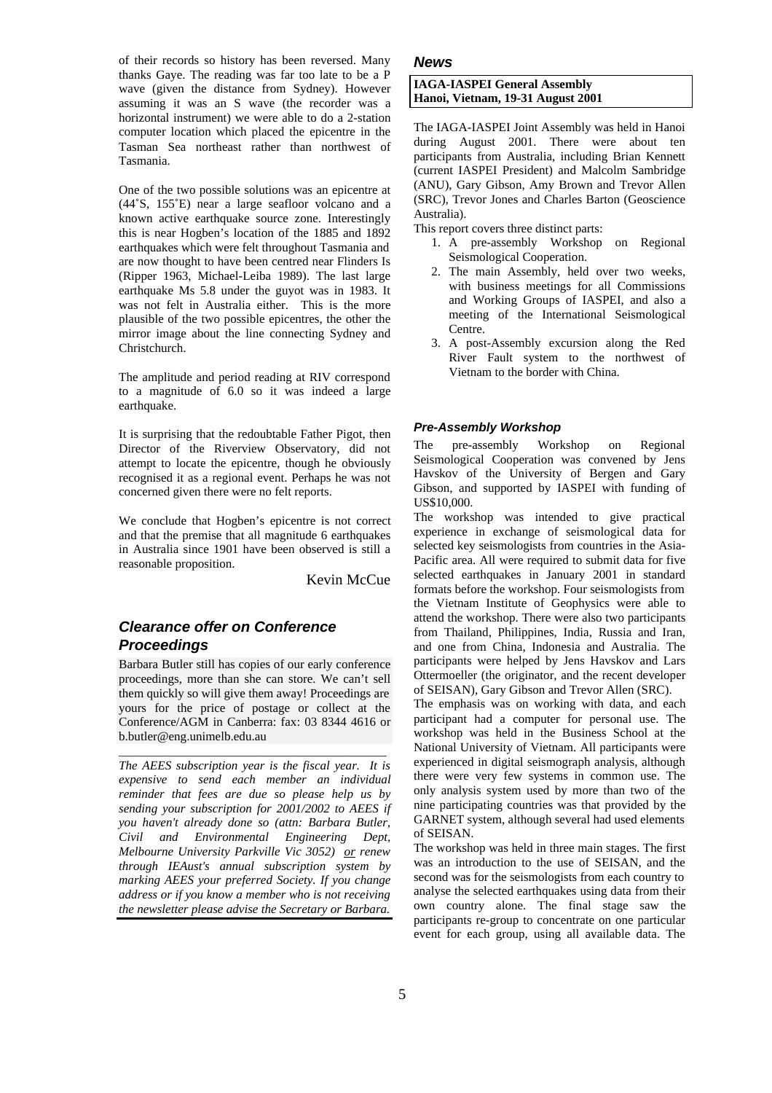of their records so history has been reversed. Many thanks Gaye. The reading was far too late to be a P wave (given the distance from Sydney). However assuming it was an S wave (the recorder was a horizontal instrument) we were able to do a 2-station computer location which placed the epicentre in the Tasman Sea northeast rather than northwest of Tasmania.

One of the two possible solutions was an epicentre at (44˚S, 155˚E) near a large seafloor volcano and a known active earthquake source zone. Interestingly this is near Hogben's location of the 1885 and 1892 earthquakes which were felt throughout Tasmania and are now thought to have been centred near Flinders Is (Ripper 1963, Michael-Leiba 1989). The last large earthquake Ms 5.8 under the guyot was in 1983. It was not felt in Australia either. This is the more plausible of the two possible epicentres, the other the mirror image about the line connecting Sydney and Christchurch.

The amplitude and period reading at RIV correspond to a magnitude of 6.0 so it was indeed a large earthquake.

It is surprising that the redoubtable Father Pigot, then Director of the Riverview Observatory, did not attempt to locate the epicentre, though he obviously recognised it as a regional event. Perhaps he was not concerned given there were no felt reports.

We conclude that Hogben's epicentre is not correct and that the premise that all magnitude 6 earthquakes in Australia since 1901 have been observed is still a reasonable proposition.

Kevin McCue

## *Clearance offer on Conference Proceedings*

Barbara Butler still has copies of our early conference proceedings, more than she can store. We can't sell them quickly so will give them away! Proceedings are yours for the price of postage or collect at the Conference/AGM in Canberra: fax: 03 8344 4616 or b.butler@eng.unimelb.edu.au

\_\_\_\_\_\_\_\_\_\_\_\_\_\_\_\_\_\_\_\_\_\_\_\_\_\_\_\_\_\_\_\_\_\_\_\_\_\_\_\_\_\_\_

*The AEES subscription year is the fiscal year. It is expensive to send each member an individual reminder that fees are due so please help us by sending your subscription for 2001/2002 to AEES if you haven't already done so (attn: Barbara Butler, Civil and Environmental Engineering Dept, Melbourne University Parkville Vic 3052) or renew through IEAust's annual subscription system by marking AEES your preferred Society. If you change address or if you know a member who is not receiving the newsletter please advise the Secretary or Barbara.*

#### *News*

#### **IAGA-IASPEI General Assembly Hanoi, Vietnam, 19-31 August 2001**

The IAGA-IASPEI Joint Assembly was held in Hanoi during August 2001. There were about ten participants from Australia, including Brian Kennett (current IASPEI President) and Malcolm Sambridge (ANU), Gary Gibson, Amy Brown and Trevor Allen (SRC), Trevor Jones and Charles Barton (Geoscience Australia).

This report covers three distinct parts:

- 1. A pre-assembly Workshop on Regional Seismological Cooperation.
- 2. The main Assembly, held over two weeks, with business meetings for all Commissions and Working Groups of IASPEI, and also a meeting of the International Seismological Centre.
- 3. A post-Assembly excursion along the Red River Fault system to the northwest of Vietnam to the border with China.

#### *Pre-Assembly Workshop*

The pre-assembly Workshop on Regional Seismological Cooperation was convened by Jens Havskov of the University of Bergen and Gary Gibson, and supported by IASPEI with funding of US\$10,000.

The workshop was intended to give practical experience in exchange of seismological data for selected key seismologists from countries in the Asia-Pacific area. All were required to submit data for five selected earthquakes in January 2001 in standard formats before the workshop. Four seismologists from the Vietnam Institute of Geophysics were able to attend the workshop. There were also two participants from Thailand, Philippines, India, Russia and Iran, and one from China, Indonesia and Australia. The participants were helped by Jens Havskov and Lars Ottermoeller (the originator, and the recent developer of SEISAN), Gary Gibson and Trevor Allen (SRC).

The emphasis was on working with data, and each participant had a computer for personal use. The workshop was held in the Business School at the National University of Vietnam. All participants were experienced in digital seismograph analysis, although there were very few systems in common use. The only analysis system used by more than two of the nine participating countries was that provided by the GARNET system, although several had used elements of SEISAN.

The workshop was held in three main stages. The first was an introduction to the use of SEISAN, and the second was for the seismologists from each country to analyse the selected earthquakes using data from their own country alone. The final stage saw the participants re-group to concentrate on one particular event for each group, using all available data. The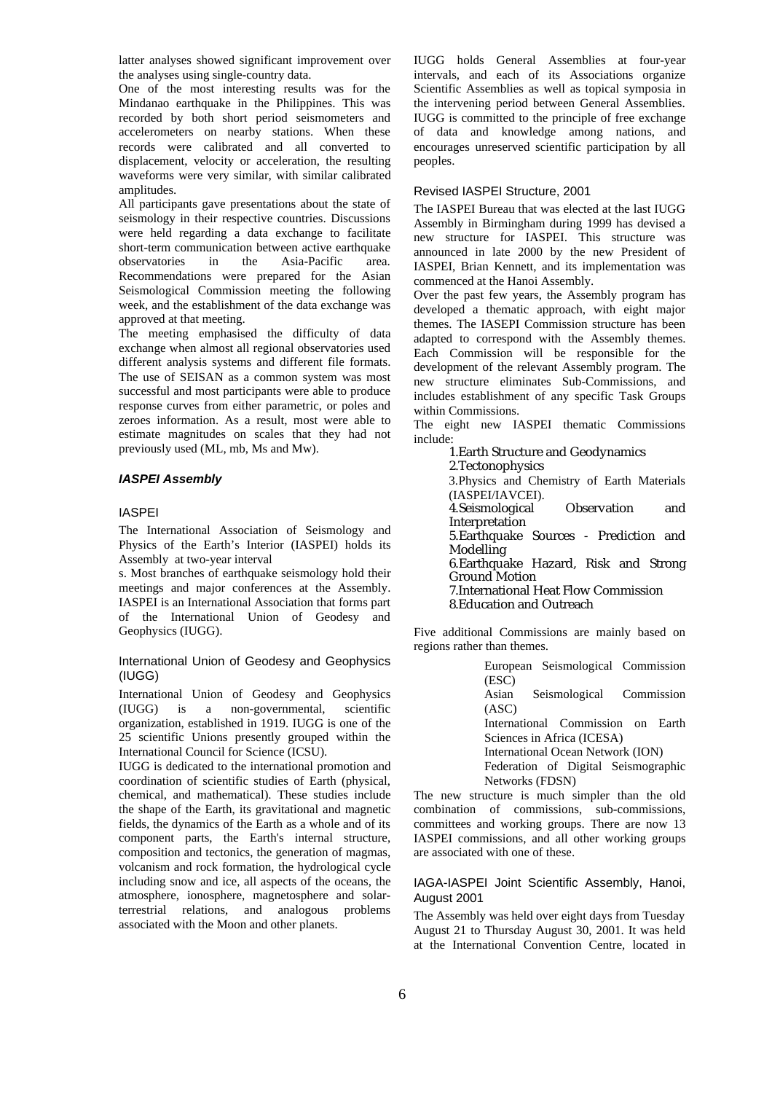latter analyses showed significant improvement over the analyses using single-country data.

One of the most interesting results was for the Mindanao earthquake in the Philippines. This was recorded by both short period seismometers and accelerometers on nearby stations. When these records were calibrated and all converted to displacement, velocity or acceleration, the resulting waveforms were very similar, with similar calibrated amplitudes.

All participants gave presentations about the state of seismology in their respective countries. Discussions were held regarding a data exchange to facilitate short-term communication between active earthquake observatories in the Asia-Pacific area. Recommendations were prepared for the Asian Seismological Commission meeting the following week, and the establishment of the data exchange was approved at that meeting.

The meeting emphasised the difficulty of data exchange when almost all regional observatories used different analysis systems and different file formats. The use of SEISAN as a common system was most successful and most participants were able to produce response curves from either parametric, or poles and zeroes information. As a result, most were able to estimate magnitudes on scales that they had not previously used (ML, mb, Ms and Mw).

#### *IASPEI Assembly*

#### IASPEI

The International Association of Seismology and Physics of the Earth's Interior (IASPEI) holds its Assembly at two-year interval

s. Most branches of earthquake seismology hold their meetings and major conferences at the Assembly. IASPEI is an International Association that forms part of the International Union of Geodesy and Geophysics (IUGG).

#### International Union of Geodesy and Geophysics (IUGG)

International Union of Geodesy and Geophysics<br>(IUGG) is a non-governmental. scientific  $\infty$  is a non-governmental, organization, established in 1919. IUGG is one of the 25 scientific Unions presently grouped within the International Council for Science (ICSU).

IUGG is dedicated to the international promotion and coordination of scientific studies of Earth (physical, chemical, and mathematical). These studies include the shape of the Earth, its gravitational and magnetic fields, the dynamics of the Earth as a whole and of its component parts, the Earth's internal structure, composition and tectonics, the generation of magmas, volcanism and rock formation, the hydrological cycle including snow and ice, all aspects of the oceans, the atmosphere, ionosphere, magnetosphere and solarterrestrial relations, and analogous problems associated with the Moon and other planets.

IUGG holds General Assemblies at four-year intervals, and each of its Associations organize Scientific Assemblies as well as topical symposia in the intervening period between General Assemblies. IUGG is committed to the principle of free exchange of data and knowledge among nations, and encourages unreserved scientific participation by all peoples.

#### Revised IASPEI Structure, 2001

The IASPEI Bureau that was elected at the last IUGG Assembly in Birmingham during 1999 has devised a new structure for IASPEI. This structure was announced in late 2000 by the new President of IASPEI, Brian Kennett, and its implementation was commenced at the Hanoi Assembly.

Over the past few years, the Assembly program has developed a thematic approach, with eight major themes. The IASEPI Commission structure has been adapted to correspond with the Assembly themes. Each Commission will be responsible for the development of the relevant Assembly program. The new structure eliminates Sub-Commissions, and includes establishment of any specific Task Groups within Commissions.

The eight new IASPEI thematic Commissions include:

1.Earth Structure and Geodynamics 2.Tectonophysics

3.Physics and Chemistry of Earth Materials (IASPEI/IAVCEI). 4.Seismological Observation and Interpretation 5.Earthquake Sources - Prediction and **Modelling** 6.Earthquake Hazard, Risk and Strong Ground Motion 7.International Heat Flow Commission 8.Education and Outreach

Five additional Commissions are mainly based on regions rather than themes.

> European Seismological Commission (ESC)

> Asian Seismological Commission (ASC)

> International Commission on Earth Sciences in Africa (ICESA)

International Ocean Network (ION)

Federation of Digital Seismographic

Networks (FDSN)

The new structure is much simpler than the old combination of commissions, sub-commissions, committees and working groups. There are now 13 IASPEI commissions, and all other working groups are associated with one of these.

#### IAGA-IASPEI Joint Scientific Assembly, Hanoi, August 2001

The Assembly was held over eight days from Tuesday August 21 to Thursday August 30, 2001. It was held at the International Convention Centre, located in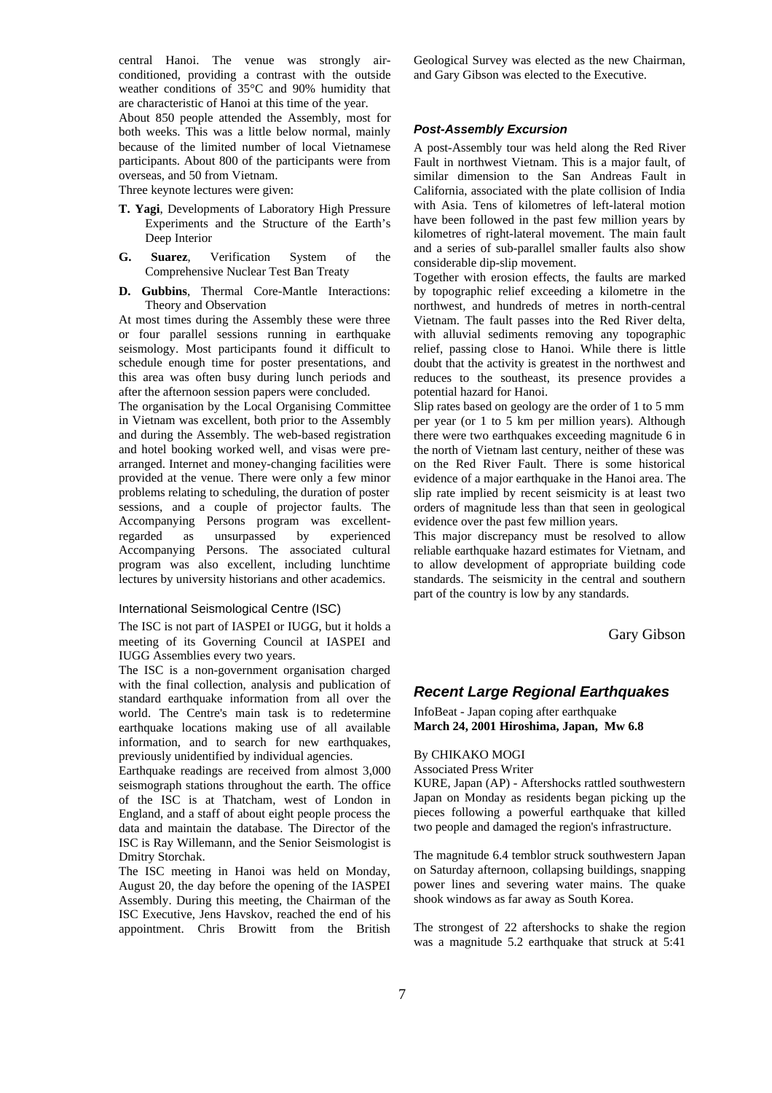central Hanoi. The venue was strongly airconditioned, providing a contrast with the outside weather conditions of 35°C and 90% humidity that are characteristic of Hanoi at this time of the year.

About 850 people attended the Assembly, most for both weeks. This was a little below normal, mainly because of the limited number of local Vietnamese participants. About 800 of the participants were from overseas, and 50 from Vietnam.

Three keynote lectures were given:

- **T. Yagi**, Developments of Laboratory High Pressure Experiments and the Structure of the Earth's Deep Interior
- **G. Suarez**, Verification System of the Comprehensive Nuclear Test Ban Treaty
- **D. Gubbins**, Thermal Core-Mantle Interactions: Theory and Observation

At most times during the Assembly these were three or four parallel sessions running in earthquake seismology. Most participants found it difficult to schedule enough time for poster presentations, and this area was often busy during lunch periods and after the afternoon session papers were concluded.

The organisation by the Local Organising Committee in Vietnam was excellent, both prior to the Assembly and during the Assembly. The web-based registration and hotel booking worked well, and visas were prearranged. Internet and money-changing facilities were provided at the venue. There were only a few minor problems relating to scheduling, the duration of poster sessions, and a couple of projector faults. The Accompanying Persons program was excellentregarded as unsurpassed by experienced Accompanying Persons. The associated cultural program was also excellent, including lunchtime lectures by university historians and other academics.

#### International Seismological Centre (ISC)

The ISC is not part of IASPEI or IUGG, but it holds a meeting of its Governing Council at IASPEI and IUGG Assemblies every two years.

The ISC is a non-government organisation charged with the final collection, analysis and publication of standard earthquake information from all over the world. The Centre's main task is to redetermine earthquake locations making use of all available information, and to search for new earthquakes, previously unidentified by individual agencies.

Earthquake readings are received from almost 3,000 seismograph stations throughout the earth. The office of the ISC is at Thatcham, west of London in England, and a staff of about eight people process the data and maintain the database. The Director of the ISC is Ray Willemann, and the Senior Seismologist is Dmitry Storchak.

The ISC meeting in Hanoi was held on Monday, August 20, the day before the opening of the IASPEI Assembly. During this meeting, the Chairman of the ISC Executive, Jens Havskov, reached the end of his appointment. Chris Browitt from the British

Geological Survey was elected as the new Chairman, and Gary Gibson was elected to the Executive.

#### *Post-Assembly Excursion*

A post-Assembly tour was held along the Red River Fault in northwest Vietnam. This is a major fault, of similar dimension to the San Andreas Fault in California, associated with the plate collision of India with Asia. Tens of kilometres of left-lateral motion have been followed in the past few million years by kilometres of right-lateral movement. The main fault and a series of sub-parallel smaller faults also show considerable dip-slip movement.

Together with erosion effects, the faults are marked by topographic relief exceeding a kilometre in the northwest, and hundreds of metres in north-central Vietnam. The fault passes into the Red River delta, with alluvial sediments removing any topographic relief, passing close to Hanoi. While there is little doubt that the activity is greatest in the northwest and reduces to the southeast, its presence provides a potential hazard for Hanoi.

Slip rates based on geology are the order of 1 to 5 mm per year (or 1 to 5 km per million years). Although there were two earthquakes exceeding magnitude 6 in the north of Vietnam last century, neither of these was on the Red River Fault. There is some historical evidence of a major earthquake in the Hanoi area. The slip rate implied by recent seismicity is at least two orders of magnitude less than that seen in geological evidence over the past few million years.

This major discrepancy must be resolved to allow reliable earthquake hazard estimates for Vietnam, and to allow development of appropriate building code standards. The seismicity in the central and southern part of the country is low by any standards.

Gary Gibson

#### *Recent Large Regional Earthquakes*

InfoBeat - Japan coping after earthquake **March 24, 2001 Hiroshima, Japan, Mw 6.8**

#### By CHIKAKO MOGI

#### Associated Press Writer

KURE, Japan (AP) - Aftershocks rattled southwestern Japan on Monday as residents began picking up the pieces following a powerful earthquake that killed two people and damaged the region's infrastructure.

The magnitude 6.4 temblor struck southwestern Japan on Saturday afternoon, collapsing buildings, snapping power lines and severing water mains. The quake shook windows as far away as South Korea.

The strongest of 22 aftershocks to shake the region was a magnitude 5.2 earthquake that struck at 5:41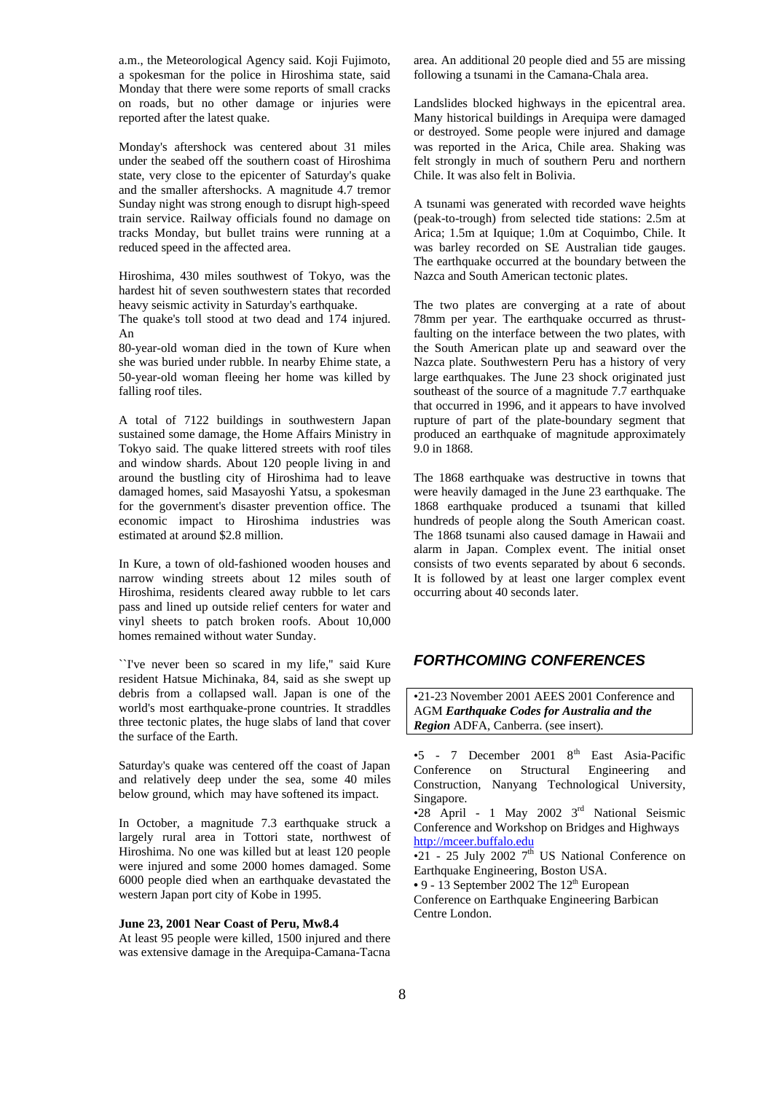a.m., the Meteorological Agency said. Koji Fujimoto, a spokesman for the police in Hiroshima state, said Monday that there were some reports of small cracks on roads, but no other damage or injuries were reported after the latest quake.

Monday's aftershock was centered about 31 miles under the seabed off the southern coast of Hiroshima state, very close to the epicenter of Saturday's quake and the smaller aftershocks. A magnitude 4.7 tremor Sunday night was strong enough to disrupt high-speed train service. Railway officials found no damage on tracks Monday, but bullet trains were running at a reduced speed in the affected area.

Hiroshima, 430 miles southwest of Tokyo, was the hardest hit of seven southwestern states that recorded heavy seismic activity in Saturday's earthquake.

The quake's toll stood at two dead and 174 injured. An

80-year-old woman died in the town of Kure when she was buried under rubble. In nearby Ehime state, a 50-year-old woman fleeing her home was killed by falling roof tiles.

A total of 7122 buildings in southwestern Japan sustained some damage, the Home Affairs Ministry in Tokyo said. The quake littered streets with roof tiles and window shards. About 120 people living in and around the bustling city of Hiroshima had to leave damaged homes, said Masayoshi Yatsu, a spokesman for the government's disaster prevention office. The economic impact to Hiroshima industries was estimated at around \$2.8 million.

In Kure, a town of old-fashioned wooden houses and narrow winding streets about 12 miles south of Hiroshima, residents cleared away rubble to let cars pass and lined up outside relief centers for water and vinyl sheets to patch broken roofs. About 10,000 homes remained without water Sunday.

``I've never been so scared in my life,'' said Kure resident Hatsue Michinaka, 84, said as she swept up debris from a collapsed wall. Japan is one of the world's most earthquake-prone countries. It straddles three tectonic plates, the huge slabs of land that cover the surface of the Earth.

Saturday's quake was centered off the coast of Japan and relatively deep under the sea, some 40 miles below ground, which may have softened its impact.

In October, a magnitude 7.3 earthquake struck a largely rural area in Tottori state, northwest of Hiroshima. No one was killed but at least 120 people were injured and some 2000 homes damaged. Some 6000 people died when an earthquake devastated the western Japan port city of Kobe in 1995.

#### **June 23, 2001 Near Coast of Peru, Mw8.4**

At least 95 people were killed, 1500 injured and there was extensive damage in the Arequipa-Camana-Tacna area. An additional 20 people died and 55 are missing following a tsunami in the Camana-Chala area.

Landslides blocked highways in the epicentral area. Many historical buildings in Arequipa were damaged or destroyed. Some people were injured and damage was reported in the Arica, Chile area. Shaking was felt strongly in much of southern Peru and northern Chile. It was also felt in Bolivia.

A tsunami was generated with recorded wave heights (peak-to-trough) from selected tide stations: 2.5m at Arica; 1.5m at Iquique; 1.0m at Coquimbo, Chile. It was barley recorded on SE Australian tide gauges. The earthquake occurred at the boundary between the Nazca and South American tectonic plates.

The two plates are converging at a rate of about 78mm per year. The earthquake occurred as thrustfaulting on the interface between the two plates, with the South American plate up and seaward over the Nazca plate. Southwestern Peru has a history of very large earthquakes. The June 23 shock originated just southeast of the source of a magnitude 7.7 earthquake that occurred in 1996, and it appears to have involved rupture of part of the plate-boundary segment that produced an earthquake of magnitude approximately 9.0 in 1868.

The 1868 earthquake was destructive in towns that were heavily damaged in the June 23 earthquake. The 1868 earthquake produced a tsunami that killed hundreds of people along the South American coast. The 1868 tsunami also caused damage in Hawaii and alarm in Japan. Complex event. The initial onset consists of two events separated by about 6 seconds. It is followed by at least one larger complex event occurring about 40 seconds later.

## *FORTHCOMING CONFERENCES*

•21-23 November 2001 AEES 2001 Conference and AGM *Earthquake Codes for Australia and the Region* ADFA, Canberra. (see insert).

 $\bullet$ 5 - 7 December 2001  $8^{\text{th}}$  East Asia-Pacific Conference on Structural Engineering and Construction, Nanyang Technological University, Singapore.

 $\bullet$ 28 April - 1 May 2002 3<sup>rd</sup> National Seismic Conference and Workshop on Bridges and Highways http://mceer.buffalo.edu

 $\overline{•21}$  - 25 July 2002 7<sup>th</sup> US National Conference on Earthquake Engineering, Boston USA.

• 9 - 13 September 2002 The 12<sup>th</sup> European

Conference on Earthquake Engineering Barbican Centre London.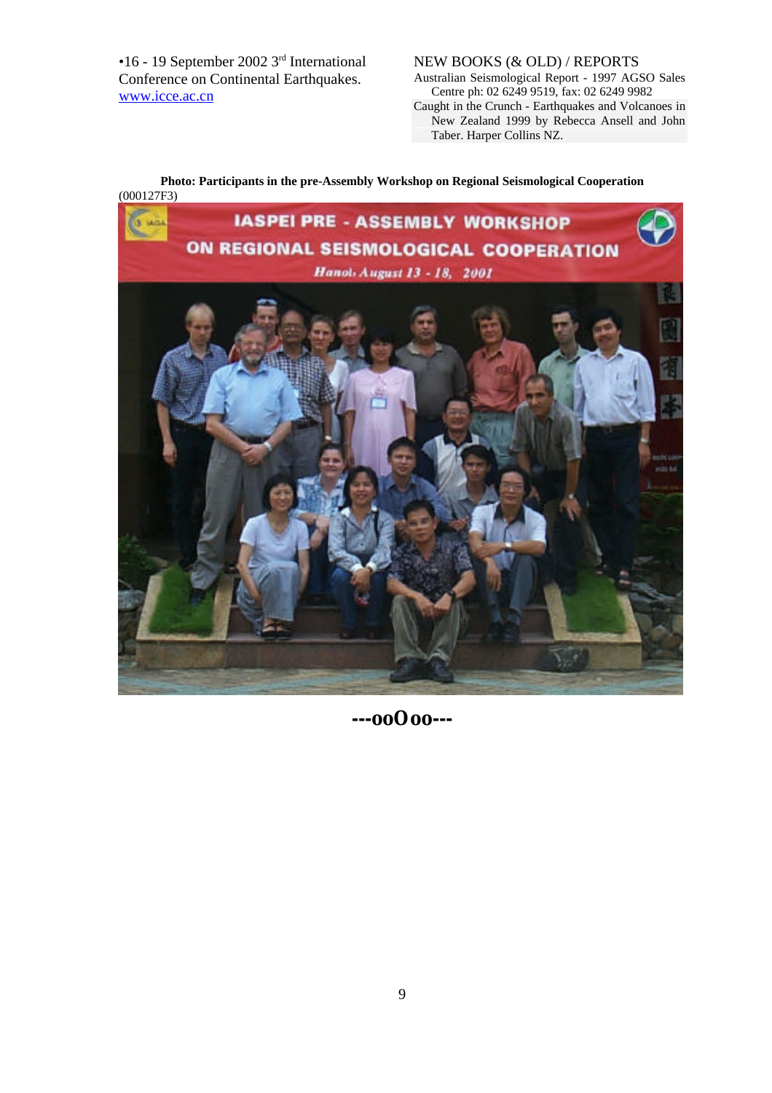•16 - 19 September 2002 3rd International Conference on Continental Earthquakes. www.icce.ac.cn

## NEW BOOKS (& OLD) / REPORTS

Australian Seismological Report - 1997 AGSO Sales Centre ph: 02 6249 9519, fax: 02 6249 9982 Caught in the Crunch - Earthquakes and Volcanoes in New Zealand 1999 by Rebecca Ansell and John Taber. Harper Collins NZ.

## **Photo: Participants in the pre-Assembly Workshop on Regional Seismological Cooperation** (000127F3)



**---ooOoo---**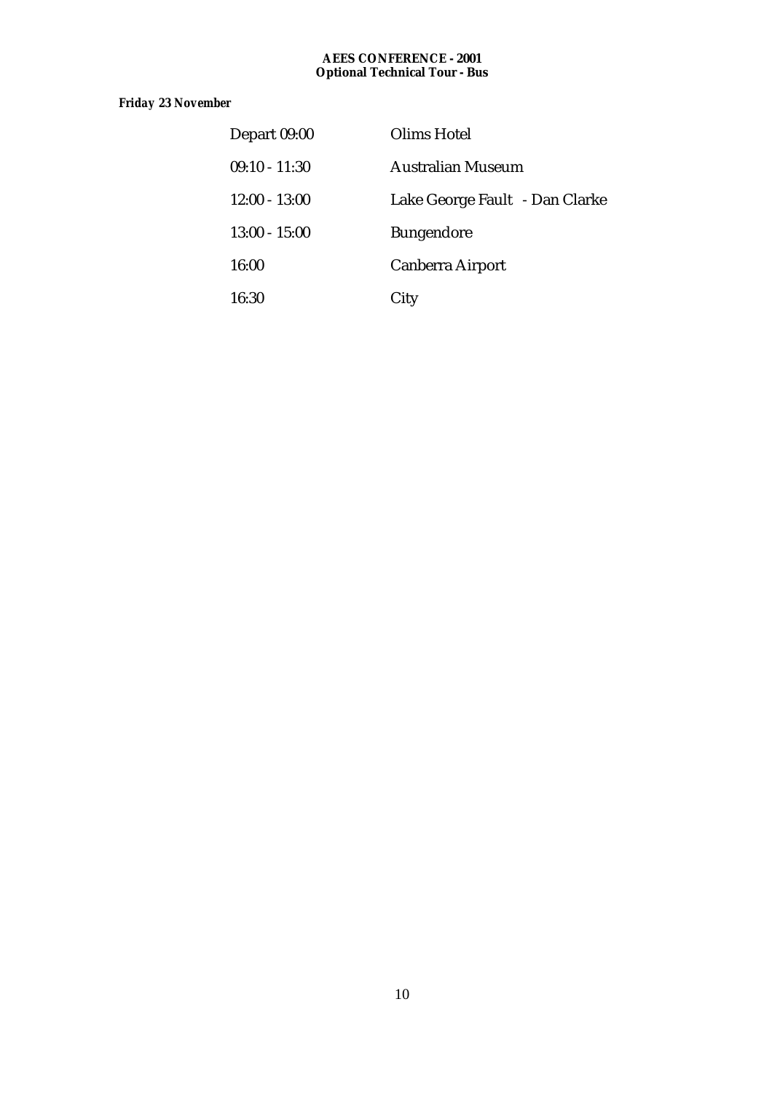#### **AEES CONFERENCE - 2001 Optional Technical Tour - Bus**

## *Friday 23 November*

| Depart 09:00    | Olims Hotel                    |
|-----------------|--------------------------------|
| $09:10 - 11:30$ | <b>Australian Museum</b>       |
| $12:00 - 13:00$ | Lake George Fault - Dan Clarke |
| $13:00 - 15:00$ | <b>Bungendore</b>              |
| 16:00           | <b>Canberra Airport</b>        |
| 16:30           | City                           |